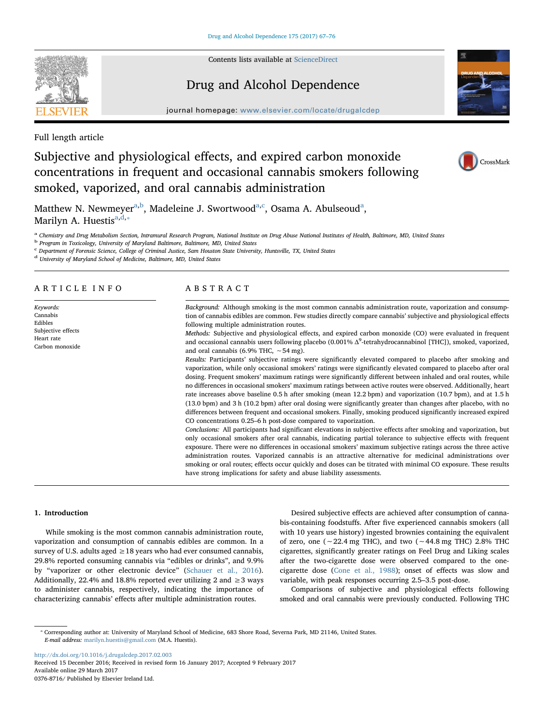

Contents lists available at [ScienceDirect](http://www.sciencedirect.com/science/journal/03768716)

# Drug and Alcohol Dependence



journal homepage: [www.elsevier.com/locate/drugalcdep](http://www.elsevier.com/locate/drugalcdep)

Full length article

# Subjective and physiological effects, and expired carbon monoxide concentrations in frequent and occasional cannabis smokers following smoked, vaporized, and oral cannabis administration



Matthew N. Newmeyer<sup>[a,](#page-0-0)[b](#page-0-1)</sup>, M[a](#page-0-0)deleine J. Swortwood<sup>a,[c](#page-0-2)</sup>, Osama A. Abulseoud<sup>a</sup>, Marilyn A. Huestis $a,d,\ldots$  $a,d,\ldots$  $a,d,\ldots$ 

<span id="page-0-0"></span>a Chemistry and Drug Metabolism Section, Intramural Research Program, National Institute on Drug Abuse National Institutes of Health, Baltimore, MD, United States

<span id="page-0-1"></span><sup>b</sup> Program in Toxicology, University of Maryland Baltimore, Baltimore, MD, United States

<span id="page-0-2"></span><sup>c</sup> Department of Forensic Science, College of Criminal Justice, Sam Houston State University, Huntsville, TX, United States

<span id="page-0-3"></span><sup>d</sup> University of Maryland School of Medicine, Baltimore, MD, United States

# ARTICLE INFO

Keywords: Cannabis Edibles Subjective effects Heart rate Carbon monoxide

# ABSTRACT

Background: Although smoking is the most common cannabis administration route, vaporization and consumption of cannabis edibles are common. Few studies directly compare cannabis' subjective and physiological effects following multiple administration routes.

Methods: Subjective and physiological effects, and expired carbon monoxide (CO) were evaluated in frequent and occasional cannabis users following placebo  $(0.001\% \Delta^9$ -tetrahydrocannabinol [THC]), smoked, vaporized, and oral cannabis (6.9% THC, ∼54 mg).

Results: Participants' subjective ratings were significantly elevated compared to placebo after smoking and vaporization, while only occasional smokers' ratings were significantly elevated compared to placebo after oral dosing. Frequent smokers' maximum ratings were significantly different between inhaled and oral routes, while no differences in occasional smokers' maximum ratings between active routes were observed. Additionally, heart rate increases above baseline 0.5 h after smoking (mean 12.2 bpm) and vaporization (10.7 bpm), and at 1.5 h (13.0 bpm) and 3 h (10.2 bpm) after oral dosing were significantly greater than changes after placebo, with no differences between frequent and occasional smokers. Finally, smoking produced significantly increased expired CO concentrations 0.25–6 h post-dose compared to vaporization.

Conclusions: All participants had significant elevations in subjective effects after smoking and vaporization, but only occasional smokers after oral cannabis, indicating partial tolerance to subjective effects with frequent exposure. There were no differences in occasional smokers' maximum subjective ratings across the three active administration routes. Vaporized cannabis is an attractive alternative for medicinal administrations over smoking or oral routes; effects occur quickly and doses can be titrated with minimal CO exposure. These results have strong implications for safety and abuse liability assessments.

# 1. Introduction

While smoking is the most common cannabis administration route, vaporization and consumption of cannabis edibles are common. In a survey of U.S. adults aged  $\geq$  18 years who had ever consumed cannabis, 29.8% reported consuming cannabis via "edibles or drinks", and 9.9% by "vaporizer or other electronic device" [\(Schauer et al., 2016](#page-9-0)). Additionally, 22.4% and 18.8% reported ever utilizing 2 and  $\geq$  3 ways to administer cannabis, respectively, indicating the importance of characterizing cannabis' effects after multiple administration routes.

Desired subjective effects are achieved after consumption of cannabis-containing foodstuffs. After five experienced cannabis smokers (all with 10 years use history) ingested brownies containing the equivalent of zero, one (∼22.4 mg THC), and two (∼44.8 mg THC) 2.8% THC cigarettes, significantly greater ratings on Feel Drug and Liking scales after the two-cigarette dose were observed compared to the onecigarette dose ([Cone et al., 1988](#page-8-0)); onset of effects was slow and variable, with peak responses occurring 2.5–3.5 post-dose.

Comparisons of subjective and physiological effects following smoked and oral cannabis were previously conducted. Following THC

<http://dx.doi.org/10.1016/j.drugalcdep.2017.02.003> Received 15 December 2016; Received in revised form 16 January 2017; Accepted 9 February 2017 Available online 29 March 2017

0376-8716/ Published by Elsevier Ireland Ltd.

<span id="page-0-4"></span><sup>⁎</sup> Corresponding author at: University of Maryland School of Medicine, 683 Shore Road, Severna Park, MD 21146, United States. E-mail address: [marilyn.huestis@gmail.com](mailto:marilyn.huestis@gmail.com) (M.A. Huestis).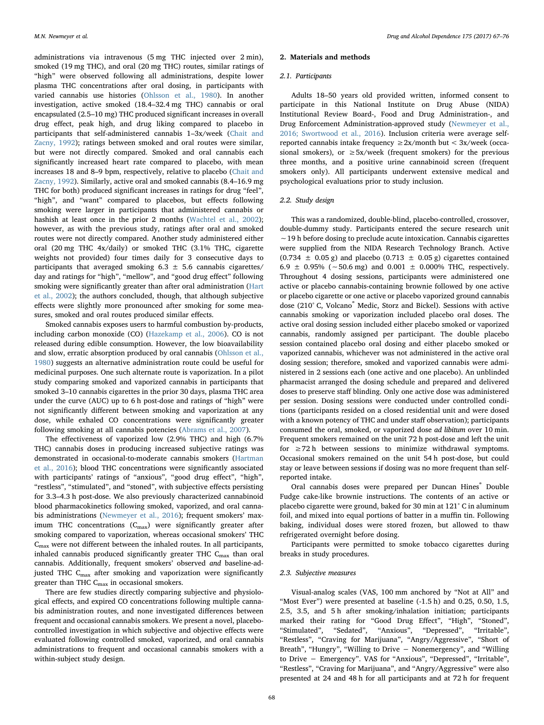administrations via intravenous (5 mg THC injected over 2 min), smoked (19 mg THC), and oral (20 mg THC) routes, similar ratings of "high" were observed following all administrations, despite lower plasma THC concentrations after oral dosing, in participants with varied cannabis use histories ([Ohlsson et al., 1980\)](#page-9-1). In another investigation, active smoked (18.4–32.4 mg THC) cannabis or oral encapsulated (2.5–10 mg) THC produced significant increases in overall drug effect, peak high, and drug liking compared to placebo in participants that self-administered cannabis 1–3x/week ([Chait and](#page-8-1) [Zacny, 1992](#page-8-1)); ratings between smoked and oral routes were similar, but were not directly compared. Smoked and oral cannabis each significantly increased heart rate compared to placebo, with mean increases 18 and 8–9 bpm, respectively, relative to placebo [\(Chait and](#page-8-1) [Zacny, 1992](#page-8-1)). Similarly, active oral and smoked cannabis (8.4–16.9 mg THC for both) produced significant increases in ratings for drug "feel", "high", and "want" compared to placebos, but effects following smoking were larger in participants that administered cannabis or hashish at least once in the prior 2 months ([Wachtel et al., 2002](#page-9-2)); however, as with the previous study, ratings after oral and smoked routes were not directly compared. Another study administered either oral (20 mg THC 4x/daily) or smoked THC (3.1% THC, cigarette weights not provided) four times daily for 3 consecutive days to participants that averaged smoking  $6.3 \pm 5.6$  cannabis cigarettes/ day and ratings for "high", "mellow", and "good drug effect" following smoking were significantly greater than after oral administration ([Hart](#page-8-2) [et al., 2002\)](#page-8-2); the authors concluded, though, that although subjective effects were slightly more pronounced after smoking for some measures, smoked and oral routes produced similar effects.

Smoked cannabis exposes users to harmful combustion by-products, including carbon monoxide (CO) ([Hazekamp et al., 2006](#page-8-3)). CO is not released during edible consumption. However, the low bioavailability and slow, erratic absorption produced by oral cannabis [\(Ohlsson et al.,](#page-9-1) [1980\)](#page-9-1) suggests an alternative administration route could be useful for medicinal purposes. One such alternate route is vaporization. In a pilot study comparing smoked and vaporized cannabis in participants that smoked 3–10 cannabis cigarettes in the prior 30 days, plasma THC area under the curve (AUC) up to 6 h post-dose and ratings of "high" were not significantly different between smoking and vaporization at any dose, while exhaled CO concentrations were significantly greater following smoking at all cannabis potencies [\(Abrams et al., 2007](#page-8-4)).

The effectiveness of vaporized low (2.9% THC) and high (6.7% THC) cannabis doses in producing increased subjective ratings was demonstrated in occasional-to-moderate cannabis smokers [\(Hartman](#page-8-5) [et al., 2016\)](#page-8-5); blood THC concentrations were significantly associated with participants' ratings of "anxious", "good drug effect", "high", "restless", "stimulated", and "stoned", with subjective effects persisting for 3.3–4.3 h post-dose. We also previously characterized cannabinoid blood pharmacokinetics following smoked, vaporized, and oral cannabis administrations [\(Newmeyer et al., 2016\)](#page-8-6); frequent smokers' maximum THC concentrations  $(C_{\text{max}})$  were significantly greater after smoking compared to vaporization, whereas occasional smokers' THC  $C_{\text{max}}$  were not different between the inhaled routes. In all participants, inhaled cannabis produced significantly greater THC C<sub>max</sub> than oral cannabis. Additionally, frequent smokers' observed and baseline-adjusted THC  $C<sub>max</sub>$  after smoking and vaporization were significantly greater than THC  $C_{\text{max}}$  in occasional smokers.

There are few studies directly comparing subjective and physiological effects, and expired CO concentrations following multiple cannabis administration routes, and none investigated differences between frequent and occasional cannabis smokers. We present a novel, placebocontrolled investigation in which subjective and objective effects were evaluated following controlled smoked, vaporized, and oral cannabis administrations to frequent and occasional cannabis smokers with a within-subject study design.

#### 2. Materials and methods

## 2.1. Participants

Adults 18–50 years old provided written, informed consent to participate in this National Institute on Drug Abuse (NIDA) Institutional Review Board-, Food and Drug Administration-, and Drug Enforcement Administration-approved study ([Newmeyer et al.,](#page-8-6) [2016; Swortwood et al., 2016](#page-8-6)). Inclusion criteria were average selfreported cannabis intake frequency  $\geq 2x/$ month but < 3x/week (occasional smokers), or  $\geq 5x$ /week (frequent smokers) for the previous three months, and a positive urine cannabinoid screen (frequent smokers only). All participants underwent extensive medical and psychological evaluations prior to study inclusion.

# 2.2. Study design

This was a randomized, double-blind, placebo-controlled, crossover, double-dummy study. Participants entered the secure research unit ∼19 h before dosing to preclude acute intoxication. Cannabis cigarettes were supplied from the NIDA Research Technology Branch. Active  $(0.734 \pm 0.05 \text{ g})$  and placebo  $(0.713 \pm 0.05 \text{ g})$  cigarettes contained 6.9 ± 0.95% (∼50.6 mg) and 0.001 ± 0.000% THC, respectively. Throughout 4 dosing sessions, participants were administered one active or placebo cannabis-containing brownie followed by one active or placebo cigarette or one active or placebo vaporized ground cannabis dose (210°C, Volcano<sup>®</sup> Medic, Storz and Bickel). Sessions with active cannabis smoking or vaporization included placebo oral doses. The active oral dosing session included either placebo smoked or vaporized cannabis, randomly assigned per participant. The double placebo session contained placebo oral dosing and either placebo smoked or vaporized cannabis, whichever was not administered in the active oral dosing session; therefore, smoked and vaporized cannabis were administered in 2 sessions each (one active and one placebo). An unblinded pharmacist arranged the dosing schedule and prepared and delivered doses to preserve staff blinding. Only one active dose was administered per session. Dosing sessions were conducted under controlled conditions (participants resided on a closed residential unit and were dosed with a known potency of THC and under staff observation); participants consumed the oral, smoked, or vaporized dose ad libitum over 10 min. Frequent smokers remained on the unit 72 h post-dose and left the unit for  $\geq$ 72 h between sessions to minimize withdrawal symptoms. Occasional smokers remained on the unit 54 h post-dose, but could stay or leave between sessions if dosing was no more frequent than selfreported intake.

Oral cannabis doses were prepared per Duncan Hines<sup>®</sup> Double Fudge cake-like brownie instructions. The contents of an active or placebo cigarette were ground, baked for 30 min at 121° C in aluminum foil, and mixed into equal portions of batter in a muffin tin. Following baking, individual doses were stored frozen, but allowed to thaw refrigerated overnight before dosing.

Participants were permitted to smoke tobacco cigarettes during breaks in study procedures.

## 2.3. Subjective measures

Visual-analog scales (VAS, 100 mm anchored by "Not at All" and "Most Ever") were presented at baseline (-1.5 h) and 0.25, 0.50, 1.5, 2.5, 3.5, and 5 h after smoking/inhalation initiation; participants marked their rating for "Good Drug Effect", "High", "Stoned", "Stimulated", "Sedated", "Anxious", "Depressed", "Irritable", "Restless", "Craving for Marijuana", "Angry/Aggressive", "Short of Breath", "Hungry", "Willing to Drive − Nonemergency", and "Willing to Drive − Emergency". VAS for "Anxious", "Depressed", "Irritable", "Restless", "Craving for Marijuana", and "Angry/Aggressive" were also presented at 24 and 48 h for all participants and at 72 h for frequent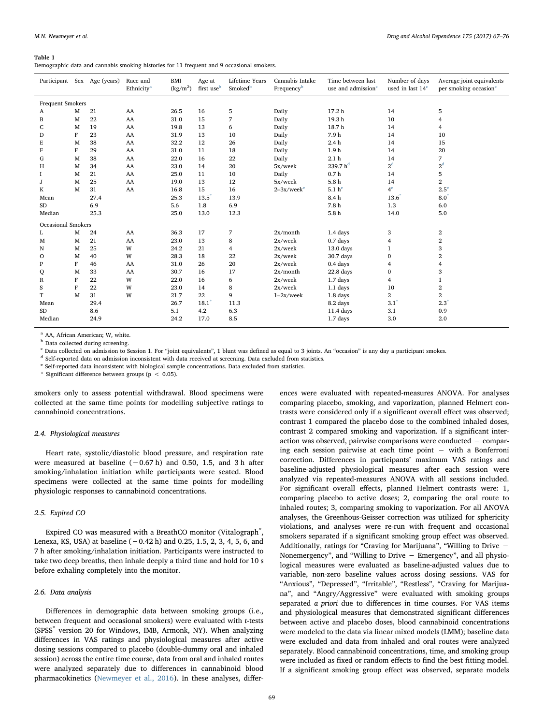#### <span id="page-2-6"></span>Table 1

Demographic data and cannabis smoking histories for 11 frequent and 9 occasional smokers.

|                         |   | Participant Sex Age (years) | Race and<br>Ethnicity <sup>a</sup> | <b>BMI</b><br>$(kg/m^2)$ | Age at<br>first use <sup>b</sup> | Lifetime Years<br>Smoked <sup>b</sup> | Cannabis Intake<br>Time between last<br>Frequency <sup>b</sup><br>use and admission <sup>c</sup> |                      | Number of days<br>used in last $14c$ | Average joint equivalents<br>per smoking occasion <sup>c</sup> |  |
|-------------------------|---|-----------------------------|------------------------------------|--------------------------|----------------------------------|---------------------------------------|--------------------------------------------------------------------------------------------------|----------------------|--------------------------------------|----------------------------------------------------------------|--|
| <b>Frequent Smokers</b> |   |                             |                                    |                          |                                  |                                       |                                                                                                  |                      |                                      |                                                                |  |
| A                       | M | 21                          | AA                                 | 26.5                     | 16                               | 5                                     | Daily                                                                                            | 17.2 <sub>h</sub>    | 14                                   | 5                                                              |  |
| B                       | M | 22                          | AA                                 | 31.0                     | 15                               | 7                                     | Daily                                                                                            | 19.3h                | 10                                   | 4                                                              |  |
| C                       | M | 19                          | AA                                 | 19.8                     | 13                               | 6                                     | Daily                                                                                            | 18.7h                | 14                                   | 4                                                              |  |
| D                       | F | 23                          | AA                                 | 31.9                     | 13                               | 10                                    | Daily                                                                                            | 7.9h                 | 14                                   | 10                                                             |  |
| E                       | M | 38                          | AA                                 | 32.2                     | 12                               | 26                                    | Daily                                                                                            | 2.4h                 | 14                                   | 15                                                             |  |
| F                       | F | 29                          | AA                                 | 31.0                     | 11                               | 18                                    | Daily                                                                                            | 1.9 <sub>h</sub>     | 14                                   | 20                                                             |  |
| G                       | M | 38                          | AA                                 | 22.0                     | 16                               | 22                                    | Daily                                                                                            | 2.1 <sub>h</sub>     | 14                                   | 7                                                              |  |
| H                       | M | 34                          | AA                                 | 23.0                     | 14                               | 20                                    | 5x/week                                                                                          | 239.7 h <sup>d</sup> | $2^{\rm d}$                          | 2 <sup>d</sup>                                                 |  |
| 1                       | M | 21                          | AA                                 | 25.0                     | 11                               | 10                                    | Daily                                                                                            | 0.7 <sub>h</sub>     | 14                                   | 5                                                              |  |
| J                       | M | 25                          | AA                                 | 19.0                     | 13                               | 12                                    | 5x/week                                                                                          | 5.8 <sub>h</sub>     | 14                                   | $\overline{2}$                                                 |  |
| K                       | M | 31                          | AA                                 | 16.8                     | 15                               | 16                                    | $2-3x$ /week <sup>e</sup>                                                                        | 5.1 h <sup>e</sup>   | 4 <sup>e</sup>                       | $2.5^e$                                                        |  |
| Mean                    |   | 27.4                        |                                    | 25.3                     | 13.5                             | 13.9                                  |                                                                                                  | 8.4h                 | 13.6                                 | 8.0                                                            |  |
| SD                      |   | 6.9                         |                                    | 5.6                      | 1.8                              | 6.9                                   |                                                                                                  | 7.8 <sub>h</sub>     | 1.3                                  | 6.0                                                            |  |
| Median                  |   | 25.3                        |                                    | 25.0                     | 13.0                             | 12.3                                  |                                                                                                  | 5.8h                 | 14.0                                 | 5.0                                                            |  |
| Occasional Smokers      |   |                             |                                    |                          |                                  |                                       |                                                                                                  |                      |                                      |                                                                |  |
| L                       | M | 24                          | AA                                 | 36.3                     | 17                               | $\overline{7}$                        | 2x/month                                                                                         | 1.4 days             | 3                                    | $\boldsymbol{2}$                                               |  |
| M                       | M | 21                          | AA                                 | 23.0                     | 13                               | 8                                     | $2x$ /week                                                                                       | $0.7$ days           | 4                                    | $\boldsymbol{2}$                                               |  |
| N                       | M | 25                          | W                                  | 24.2                     | 21                               | 4                                     | 2x/week                                                                                          | 13.0 days            | $\mathbf{1}$                         | 3                                                              |  |
| 0                       | M | 40                          | W                                  | 28.3                     | 18                               | 22                                    | 2x/week                                                                                          | 30.7 days            | $\bf{0}$                             | $\overline{\mathbf{2}}$                                        |  |
| P                       | F | 46                          | AA                                 | 31.0                     | 26                               | 20                                    | $2x$ /week                                                                                       | 0.4 days             | $\overline{4}$                       | $\overline{\mathbf{4}}$                                        |  |
| Q                       | M | 33                          | AA                                 | 30.7                     | 16                               | 17                                    | $2x/m$ onth                                                                                      | 22.8 <sub>days</sub> | $\bf{0}$                             | 3                                                              |  |
| $\mathbb R$             | F | 22                          | W                                  | 22.0                     | 16                               | 6                                     | 2x/week                                                                                          | 1.7 days             | 4                                    | $\mathbf{1}$                                                   |  |
| S                       | F | 22                          | W                                  | 23.0                     | 14                               | 8                                     | $2x/$ week                                                                                       | 1.1 days             | 10                                   | $\boldsymbol{2}$                                               |  |
| T                       | M | 31                          | W                                  | 21.7                     | 22                               | 9                                     | $1-2x/$ week                                                                                     | 1.8 days             | $\overline{\mathbf{2}}$              | $\overline{2}$                                                 |  |
| Mean                    |   | 29.4                        |                                    | 26.7                     | $18.1^*$                         | 11.3                                  |                                                                                                  | 8.2 days             | $3.1$ <sup>*</sup>                   | $2.3^*$                                                        |  |
| <b>SD</b>               |   | 8.6                         |                                    | 5.1                      | 4.2                              | 6.3                                   |                                                                                                  | 11.4 days            | 3.1                                  | 0.9                                                            |  |
| Median                  |   | 24.9                        |                                    | 24.2                     | 17.0                             | 8.5                                   |                                                                                                  | $1.7$ days           | 3.0                                  | 2.0                                                            |  |
|                         |   |                             |                                    |                          |                                  |                                       |                                                                                                  |                      |                                      |                                                                |  |

<span id="page-2-0"></span><sup>a</sup> AA, African American; W, white.

<span id="page-2-1"></span>**b** Data collected during screening.

<span id="page-2-2"></span><sup>c</sup> Data collected on admission to Session 1. For "joint equivalents", 1 blunt was defined as equal to 3 joints. An "occasion" is any day a participant smokes.

<span id="page-2-3"></span><sup>d</sup> Self-reported data on admission inconsistent with data received at screening. Data excluded from statistics.

<span id="page-2-4"></span><sup>e</sup> Self-reported data inconsistent with biological sample concentrations. Data excluded from statistics.

<span id="page-2-5"></span>\* Significant difference between groups ( $p < 0.05$ ).

smokers only to assess potential withdrawal. Blood specimens were collected at the same time points for modelling subjective ratings to cannabinoid concentrations.

#### 2.4. Physiological measures

Heart rate, systolic/diastolic blood pressure, and respiration rate were measured at baseline  $(-0.67 h)$  and 0.50, 1.5, and 3 h after smoking/inhalation initiation while participants were seated. Blood specimens were collected at the same time points for modelling physiologic responses to cannabinoid concentrations.

# 2.5. Expired CO

Expired CO was measured with a BreathCO monitor (Vitalograph<sup>®</sup>, Lenexa, KS, USA) at baseline  $(-0.42 h)$  and 0.25, 1.5, 2, 3, 4, 5, 6, and 7 h after smoking/inhalation initiation. Participants were instructed to take two deep breaths, then inhale deeply a third time and hold for 10 s before exhaling completely into the monitor.

# 2.6. Data analysis

Differences in demographic data between smoking groups (i.e., between frequent and occasional smokers) were evaluated with t-tests (SPSS<sup>®</sup> version 20 for Windows, IMB, Armonk, NY). When analyzing differences in VAS ratings and physiological measures after active dosing sessions compared to placebo (double-dummy oral and inhaled session) across the entire time course, data from oral and inhaled routes were analyzed separately due to differences in cannabinoid blood pharmacokinetics [\(Newmeyer et al., 2016](#page-8-6)). In these analyses, differences were evaluated with repeated-measures ANOVA. For analyses comparing placebo, smoking, and vaporization, planned Helmert contrasts were considered only if a significant overall effect was observed; contrast 1 compared the placebo dose to the combined inhaled doses, contrast 2 compared smoking and vaporization. If a significant interaction was observed, pairwise comparisons were conducted − comparing each session pairwise at each time point − with a Bonferroni correction. Differences in participants' maximum VAS ratings and baseline-adjusted physiological measures after each session were analyzed via repeated-measures ANOVA with all sessions included. For significant overall effects, planned Helmert contrasts were: 1, comparing placebo to active doses; 2, comparing the oral route to inhaled routes; 3, comparing smoking to vaporization. For all ANOVA analyses, the Greenhous-Geisser correction was utilized for sphericity violations, and analyses were re-run with frequent and occasional smokers separated if a significant smoking group effect was observed. Additionally, ratings for "Craving for Marijuana", "Willing to Drive − Nonemergency", and "Willing to Drive − Emergency", and all physiological measures were evaluated as baseline-adjusted values due to variable, non-zero baseline values across dosing sessions. VAS for "Anxious", "Depressed", "Irritable", "Restless", "Craving for Marijuana", and "Angry/Aggressive" were evaluated with smoking groups separated a priori due to differences in time courses. For VAS items and physiological measures that demonstrated significant differences between active and placebo doses, blood cannabinoid concentrations were modeled to the data via linear mixed models (LMM); baseline data were excluded and data from inhaled and oral routes were analyzed separately. Blood cannabinoid concentrations, time, and smoking group were included as fixed or random effects to find the best fitting model. If a significant smoking group effect was observed, separate models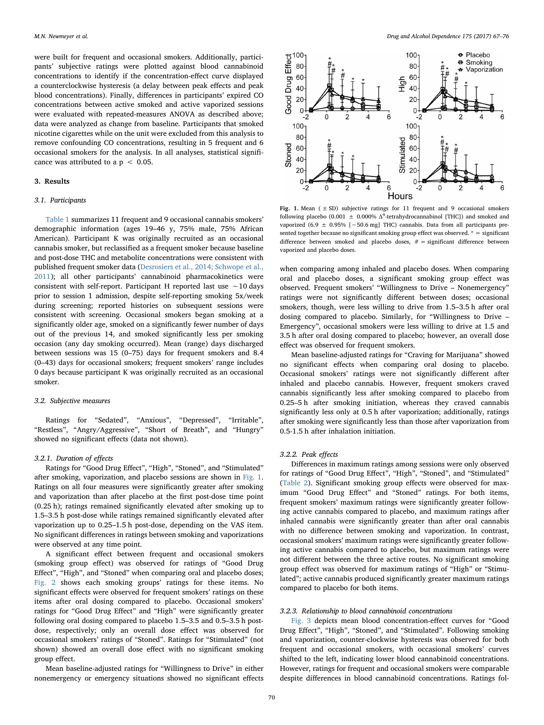were built for frequent and occasional smokers. Additionally, participants' subjective ratings were plotted against blood cannabinoid concentrations to identify if the concentration-effect curve displayed a counterclockwise hysteresis (a delay between peak effects and peak blood concentrations). Finally, differences in participants' expired CO concentrations between active smoked and active vaporized sessions were evaluated with repeated-measures ANOVA as described above; data were analyzed as change from baseline. Participants that smoked nicotine cigarettes while on the unit were excluded from this analysis to remove confounding CO concentrations, resulting in 5 frequent and 6 occasional smokers for the analysis. In all analyses, statistical significance was attributed to a  $p < 0.05$ .

## 3. Results

# 3.1. Participants

[Table 1](#page-2-6) summarizes 11 frequent and 9 occasional cannabis smokers' demographic information (ages 19–46 y, 75% male, 75% African American). Participant K was originally recruited as an occasional cannabis smoker, but reclassified as a frequent smoker because baseline and post-dose THC and metabolite concentrations were consistent with published frequent smoker data ([Desrosiers et al., 2014; Schwope et al.,](#page-8-7) [2011\)](#page-8-7); all other participants' cannabinoid pharmacokinetics were consistent with self-report. Participant H reported last use ∼10 days prior to session 1 admission, despite self-reporting smoking 5x/week during screening; reported histories on subsequent sessions were consistent with screening. Occasional smokers began smoking at a significantly older age, smoked on a significantly fewer number of days out of the previous 14, and smoked significantly less per smoking occasion (any day smoking occurred). Mean (range) days discharged between sessions was 15 (0–75) days for frequent smokers and 8.4 (0–43) days for occasional smokers; frequent smokers' range includes 0 days because participant K was originally recruited as an occasional smoker.

## 3.2. Subjective measures

Ratings for "Sedated", "Anxious", "Depressed", "Irritable", "Restless", "Angry/Aggressive", "Short of Breath", and "Hungry" showed no significant effects (data not shown).

## 3.2.1. Duration of effects

Ratings for "Good Drug Effect", "High", "Stoned", and "Stimulated" after smoking, vaporization, and placebo sessions are shown in [Fig. 1](#page-3-0). Ratings on all four measures were significantly greater after smoking and vaporization than after placebo at the first post-dose time point (0.25 h); ratings remained significantly elevated after smoking up to 1.5–3.5 h post-dose while ratings remained significantly elevated after vaporization up to 0.25–1.5 h post-dose, depending on the VAS item. No significant differences in ratings between smoking and vaporizations were observed at any time point.

A significant effect between frequent and occasional smokers (smoking group effect) was observed for ratings of "Good Drug Effect", "High", and "Stoned" when comparing oral and placebo doses; [Fig. 2](#page-4-0) shows each smoking groups' ratings for these items. No significant effects were observed for frequent smokers' ratings on these items after oral dosing compared to placebo. Occasional smokers' ratings for "Good Drug Effect" and "High" were significantly greater following oral dosing compared to placebo 1.5–3.5 and 0.5–3.5 h postdose, respectively; only an overall dose effect was observed for occasional smokers' ratings of "Stoned". Ratings for "Stimulated" (not shown) showed an overall dose effect with no significant smoking group effect.

Mean baseline-adjusted ratings for "Willingness to Drive" in either nonemergency or emergency situations showed no significant effects

<span id="page-3-0"></span>

Fig. 1. Mean ( $\pm$  SD) subjective ratings for 11 frequent and 9 occasional smokers following placebo (0.001  $\pm$  0.000%  $\Delta^{9}$ -tetrahydrocannabinol [THC]) and smoked and vaporized (6.9 ± 0.95% [∼50.6 mg] THC) cannabis. Data from all participants presented together because no significant smoking group effect was observed. \* = significant difference between smoked and placebo doses,  $# =$  significant difference between vaporized and placebo doses.

when comparing among inhaled and placebo doses. When comparing oral and placebo doses, a significant smoking group effect was observed. Frequent smokers' "Willingness to Drive – Nonemergency" ratings were not significantly different between doses; occasional smokers, though, were less willing to drive from 1.5–3.5 h after oral dosing compared to placebo. Similarly, for "Willingness to Drive – Emergency", occasional smokers were less willing to drive at 1.5 and 3.5 h after oral dosing compared to placebo; however, an overall dose effect was observed for frequent smokers.

Mean baseline-adjusted ratings for "Craving for Marijuana" showed no significant effects when comparing oral dosing to placebo. Occasional smokers' ratings were not significantly different after inhaled and placebo cannabis. However, frequent smokers craved cannabis significantly less after smoking compared to placebo from 0.25–5 h after smoking initiation, whereas they craved cannabis significantly less only at 0.5 h after vaporization; additionally, ratings after smoking were significantly less than those after vaporization from 0.5-1.5 h after inhalation initiation.

## 3.2.2. Peak effects

Differences in maximum ratings among sessions were only observed for ratings of "Good Drug Effect", "High", "Stoned", and "Stimulated" ([Table 2](#page-4-1)). Significant smoking group effects were observed for maximum "Good Drug Effect" and "Stoned" ratings. For both items, frequent smokers' maximum ratings were significantly greater following active cannabis compared to placebo, and maximum ratings after inhaled cannabis were significantly greater than after oral cannabis with no difference between smoking and vaporization. In contrast, occasional smokers' maximum ratings were significantly greater following active cannabis compared to placebo, but maximum ratings were not different between the three active routes. No significant smoking group effect was observed for maximum ratings of "High" or "Stimulated"; active cannabis produced significantly greater maximum ratings compared to placebo for both items.

## 3.2.3. Relationship to blood cannabinoid concentrations

[Fig. 3](#page-5-0) depicts mean blood concentration-effect curves for "Good Drug Effect", "High", "Stoned", and "Stimulated". Following smoking and vaporization, counter-clockwise hysteresis was observed for both frequent and occasional smokers, with occasional smokers' curves shifted to the left, indicating lower blood cannabinoid concentrations. However, ratings for frequent and occasional smokers were comparable despite differences in blood cannabinoid concentrations. Ratings fol-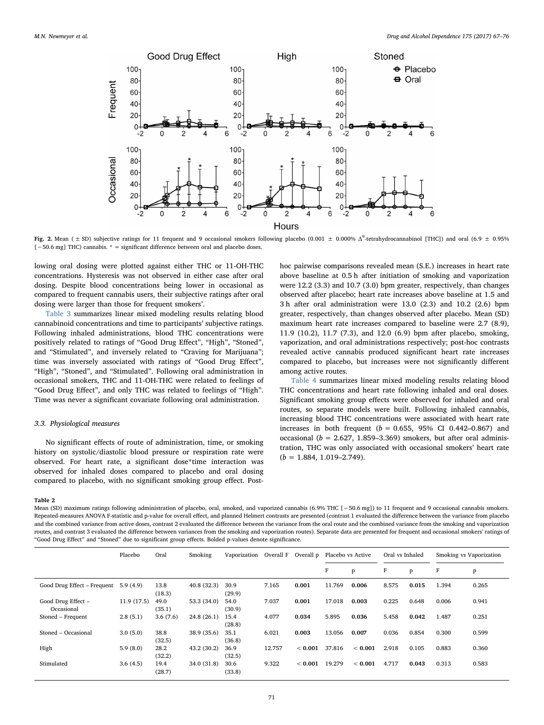<span id="page-4-0"></span>

Fig. 2. Mean ( $\pm$  SD) subjective ratings for 11 frequent and 9 occasional smokers following placebo (0.001  $\pm$  0.000%  $\Delta^9$ -tetrahydrocannabinol [THC]) and oral (6.9  $\pm$  0.95% [∼50.6 mg] THC) cannabis. \* = significant difference between oral and placebo doses.

lowing oral dosing were plotted against either THC or 11-OH-THC concentrations. Hysteresis was not observed in either case after oral dosing. Despite blood concentrations being lower in occasional as compared to frequent cannabis users, their subjective ratings after oral dosing were larger than those for frequent smokers'.

[Table 3](#page-6-0) summarizes linear mixed modeling results relating blood cannabinoid concentrations and time to participants' subjective ratings. Following inhaled administrations, blood THC concentrations were positively related to ratings of "Good Drug Effect", "High", "Stoned", and "Stimulated", and inversely related to "Craving for Marijuana"; time was inversely associated with ratings of "Good Drug Effect", "High", "Stoned", and "Stimulated". Following oral administration in occasional smokers, THC and 11-OH-THC were related to feelings of "Good Drug Effect", and only THC was related to feelings of "High". Time was never a significant covariate following oral administration.

## 3.3. Physiological measures

No significant effects of route of administration, time, or smoking history on systolic/diastolic blood pressure or respiration rate were observed. For heart rate, a significant dose\*time interaction was observed for inhaled doses compared to placebo and oral dosing compared to placebo, with no significant smoking group effect. Posthoc pairwise comparisons revealed mean (S.E.) increases in heart rate above baseline at 0.5 h after initiation of smoking and vaporization were 12.2 (3.3) and 10.7 (3.0) bpm greater, respectively, than changes observed after placebo; heart rate increases above baseline at 1.5 and 3 h after oral administration were 13.0 (2.3) and 10.2 (2.6) bpm greater, respectively, than changes observed after placebo. Mean (SD) maximum heart rate increases compared to baseline were 2.7 (8.9), 11.9 (10.2), 11.7 (7.3), and 12.0 (6.9) bpm after placebo, smoking, vaporization, and oral administrations respectively; post-hoc contrasts revealed active cannabis produced significant heart rate increases compared to placebo, but increases were not significantly different among active routes.

[Table 4](#page-7-0) summarizes linear mixed modeling results relating blood THC concentrations and heart rate following inhaled and oral doses. Significant smoking group effects were observed for inhaled and oral routes, so separate models were built. Following inhaled cannabis, increasing blood THC concentrations were associated with heart rate increases in both frequent ( $b = 0.655$ , 95% CI 0.442-0.867) and occasional ( $b = 2.627, 1.859 - 3.369$ ) smokers, but after oral administration, THC was only associated with occasional smokers' heart rate  $(b = 1.884, 1.019 - 2.749).$ 

#### <span id="page-4-1"></span>Table 2

Mean (SD) maximum ratings following administration of placebo, oral, smoked, and vaporized cannabis (6.9% THC [∼50.6 mg]) to 11 frequent and 9 occasional cannabis smokers. Repeated-measures ANOVA F-statistic and p-value for overall effect, and planned Helmert contrasts are presented (contrast 1 evaluated the difference between the variance from placebo and the combined variance from active doses, contrast 2 evaluated the difference between the variance from the oral route and the combined variance from the smoking and vaporization routes, and contrast 3 evaluated the difference between variances from the smoking and vaporization routes). Separate data are presented for frequent and occasional smokers' ratings of "Good Drug Effect" and "Stoned" due to significant group effects. Bolded p-values denote significance.

|                                  | Placebo    | Oral           | Smoking     | Vaporization   | Overall F | Overall p | Placebo vs Active |         | Oral vs Inhaled |       | Smoking vs Vaporization |       |
|----------------------------------|------------|----------------|-------------|----------------|-----------|-----------|-------------------|---------|-----------------|-------|-------------------------|-------|
|                                  |            |                |             |                |           |           | F                 | p       | F               | p     | F                       | P     |
| Good Drug Effect – Frequent      | 5.9(4.9)   | 13.8<br>(18.3) | 40.8(32.3)  | 30.9<br>(29.9) | 7.165     | 0.001     | 11.769            | 0.006   | 8.575           | 0.015 | 1.394                   | 0.265 |
| Good Drug Effect -<br>Occasional | 11.9(17.5) | 49.0<br>(35.1) | 53.3 (34.0) | 54.0<br>(30.9) | 7.037     | 0.001     | 17.018            | 0.003   | 0.225           | 0.648 | 0.006                   | 0.941 |
| Stoned - Frequent                | 2.8(5.1)   | 3.6(7.6)       | 24.8(26.1)  | 15.4<br>(28.8) | 4.077     | 0.034     | 5.895             | 0.036   | 5.458           | 0.042 | 1.487                   | 0.251 |
| Stoned - Occasional              | 3.0(5.0)   | 38.8<br>(32.5) | 38.9 (35.6) | 35.1<br>(36.8) | 6.021     | 0.003     | 13.056            | 0.007   | 0.036           | 0.854 | 0.300                   | 0.599 |
| High                             | 5.9(8.0)   | 28.2<br>(32.2) | 43.2 (30.2) | 36.9<br>(32.5) | 12.757    | < 0.001   | 37.816            | < 0.001 | 2.918           | 0.105 | 0.883                   | 0.360 |
| Stimulated                       | 3.6(4.5)   | 19.4<br>(28.7) | 34.0 (31.8) | 30.6<br>(33.8) | 9.322     | < 0.001   | 19.279            | < 0.001 | 4.717           | 0.043 | 0.313                   | 0.583 |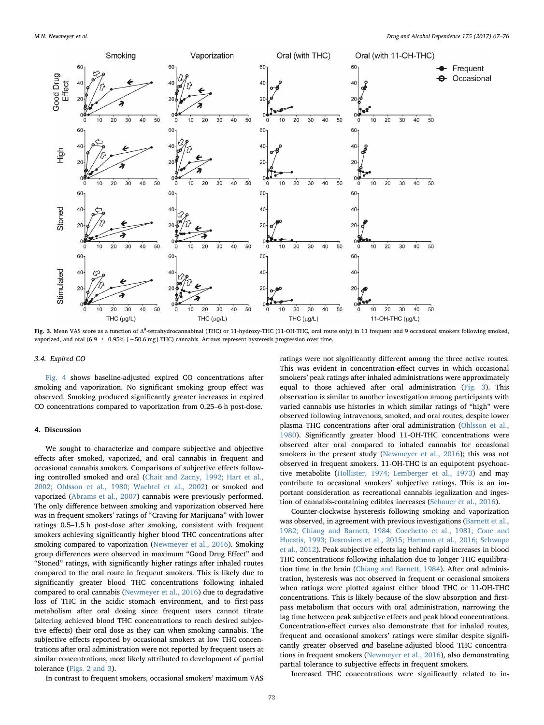<span id="page-5-0"></span>

Fig. 3. Mean VAS score as a function of Δ<sup>9</sup>-tetrahydrocannabinal (THC) or 11-hydroxy-THC (11-OH-THC, oral route only) in 11 frequent and 9 occasional smokers following smoked, vaporized, and oral (6.9 ± 0.95% [∼50.6 mg] THC) cannabis. Arrows represent hysteresis progression over time.

#### 3.4. Expired CO

[Fig. 4](#page-7-1) shows baseline-adjusted expired CO concentrations after smoking and vaporization. No significant smoking group effect was observed. Smoking produced significantly greater increases in expired CO concentrations compared to vaporization from 0.25–6 h post-dose.

#### 4. Discussion

We sought to characterize and compare subjective and objective effects after smoked, vaporized, and oral cannabis in frequent and occasional cannabis smokers. Comparisons of subjective effects following controlled smoked and oral [\(Chait and Zacny, 1992; Hart et al.,](#page-8-1) [2002; Ohlsson et al., 1980; Wachtel et al., 2002](#page-8-1)) or smoked and vaporized [\(Abrams et al., 2007\)](#page-8-4) cannabis were previously performed. The only difference between smoking and vaporization observed here was in frequent smokers' ratings of "Craving for Marijuana" with lower ratings 0.5–1.5 h post-dose after smoking, consistent with frequent smokers achieving significantly higher blood THC concentrations after smoking compared to vaporization ([Newmeyer et al., 2016\)](#page-8-6). Smoking group differences were observed in maximum "Good Drug Effect" and "Stoned" ratings, with significantly higher ratings after inhaled routes compared to the oral route in frequent smokers. This is likely due to significantly greater blood THC concentrations following inhaled compared to oral cannabis ([Newmeyer et al., 2016](#page-8-6)) due to degradative loss of THC in the acidic stomach environment, and to first-pass metabolism after oral dosing since frequent users cannot titrate (altering achieved blood THC concentrations to reach desired subjective effects) their oral dose as they can when smoking cannabis. The subjective effects reported by occasional smokers at low THC concentrations after oral administration were not reported by frequent users at similar concentrations, most likely attributed to development of partial tolerance ([Figs. 2 and 3](#page-4-0)).

ratings were not significantly different among the three active routes. This was evident in concentration-effect curves in which occasional smokers' peak ratings after inhaled administrations were approximately equal to those achieved after oral administration [\(Fig. 3\)](#page-5-0). This observation is similar to another investigation among participants with varied cannabis use histories in which similar ratings of "high" were observed following intravenous, smoked, and oral routes, despite lower plasma THC concentrations after oral administration [\(Ohlsson et al.,](#page-9-1) [1980\)](#page-9-1). Significantly greater blood 11-OH-THC concentrations were observed after oral compared to inhaled cannabis for occasional smokers in the present study ([Newmeyer et al., 2016\)](#page-8-6); this was not observed in frequent smokers. 11-OH-THC is an equipotent psychoactive metabolite [\(Hollister, 1974; Lemberger et al., 1973\)](#page-8-8) and may contribute to occasional smokers' subjective ratings. This is an important consideration as recreational cannabis legalization and ingestion of cannabis-containing edibles increases [\(Schauer et al., 2016\)](#page-9-0).

Counter-clockwise hysteresis following smoking and vaporization was observed, in agreement with previous investigations [\(Barnett et al.,](#page-8-9) [1982; Chiang and Barnett, 1984; Cocchetto et al., 1981; Cone and](#page-8-9) [Huestis, 1993; Desrosiers et al., 2015; Hartman et al., 2016; Schwope](#page-8-9) [et al., 2012](#page-8-9)). Peak subjective effects lag behind rapid increases in blood THC concentrations following inhalation due to longer THC equilibration time in the brain ([Chiang and Barnett, 1984](#page-8-10)). After oral administration, hysteresis was not observed in frequent or occasional smokers when ratings were plotted against either blood THC or 11-OH-THC concentrations. This is likely because of the slow absorption and firstpass metabolism that occurs with oral administration, narrowing the lag time between peak subjective effects and peak blood concentrations. Concentration-effect curves also demonstrate that for inhaled routes, frequent and occasional smokers' ratings were similar despite significantly greater observed and baseline-adjusted blood THC concentrations in frequent smokers ([Newmeyer et al., 2016\)](#page-8-6), also demonstrating partial tolerance to subjective effects in frequent smokers.

In contrast to frequent smokers, occasional smokers' maximum VAS

Increased THC concentrations were significantly related to in-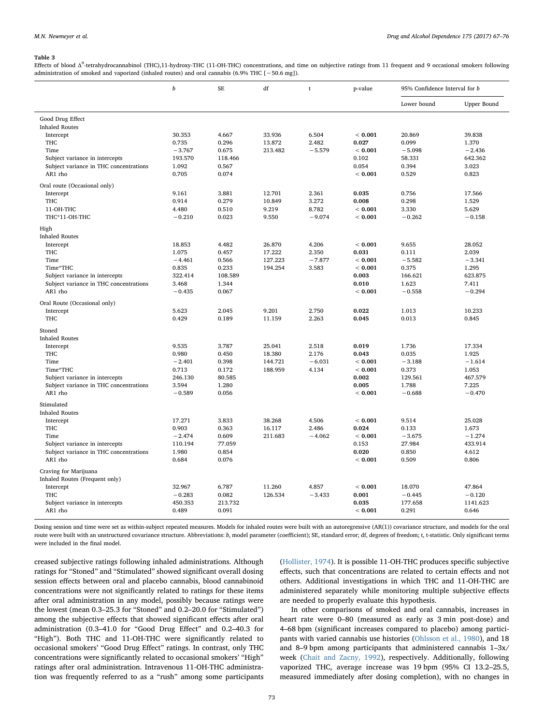#### <span id="page-6-0"></span>Table 3

Effects of blood Δ<sup>9</sup>-tetrahydrocannabinol (THC),11-hydroxy-THC (11-OH-THC) concentrations, and time on subjective ratings from 11 frequent and 9 occasional smokers following administration of smoked and vaporized (inhaled routes) and oral cannabis (6.9% THC [∼50.6 mg]).

|                                        | b        | <b>SE</b> | df      | t        | p-value | 95% Confidence Interval for b |             |
|----------------------------------------|----------|-----------|---------|----------|---------|-------------------------------|-------------|
|                                        |          |           |         |          |         | Lower bound                   | Upper Bound |
| Good Drug Effect                       |          |           |         |          |         |                               |             |
| <b>Inhaled Routes</b>                  |          |           |         |          |         |                               |             |
| Intercept                              | 30.353   | 4.667     | 33.936  | 6.504    | < 0.001 | 20.869                        | 39.838      |
| <b>THC</b>                             | 0.735    | 0.296     | 13.872  | 2.482    | 0.027   | 0.099                         | 1.370       |
| Time                                   | $-3.767$ | 0.675     | 213.482 | $-5.579$ | < 0.001 | $-5.098$                      | $-2.436$    |
| Subject variance in intercepts         | 193.570  | 118.466   |         |          | 0.102   | 58.331                        | 642.362     |
| Subject variance in THC concentrations | 1.092    | 0.567     |         |          | 0.054   | 0.394                         | 3.023       |
| $AR1$ rho                              | 0.705    | 0.074     |         |          | < 0.001 | 0.529                         | 0.823       |
| Oral route (Occasional only)           |          |           |         |          |         |                               |             |
| Intercept                              | 9.161    | 3.881     | 12.701  | 2.361    | 0.035   | 0.756                         | 17.566      |
| <b>THC</b>                             | 0.914    | 0.279     | 10.849  | 3.272    | 0.008   | 0.298                         | 1.529       |
| 11-OH-THC                              | 4.480    | 0.510     | 9.219   | 8.782    | < 0.001 | 3.330                         | 5.629       |
| THC*11-OH-THC                          | $-0.210$ | 0.023     | 9.550   | $-9.074$ | < 0.001 | $-0.262$                      | $-0.158$    |
| High                                   |          |           |         |          |         |                               |             |
| <b>Inhaled Routes</b>                  |          |           |         |          |         |                               |             |
| Intercept                              | 18.853   | 4.482     | 26.870  | 4.206    | < 0.001 | 9.655                         | 28.052      |
| <b>THC</b>                             | 1.075    | 0.457     | 17.222  | 2.350    | 0.031   | 0.111                         | 2.039       |
| Time                                   | $-4.461$ | 0.566     | 127.223 | $-7.877$ | < 0.001 | $-5.582$                      | $-3.341$    |
| Time*THC                               | 0.835    | 0.233     | 194.254 | 3.583    | < 0.001 | 0.375                         | 1.295       |
| Subject variance in intercepts         | 322.414  | 108.589   |         |          | 0.003   | 166.621                       | 623.875     |
| Subject variance in THC concentrations | 3.468    | 1.344     |         |          | 0.010   | 1.623                         | 7.411       |
| AR1 rho                                | $-0.435$ | 0.067     |         |          | < 0.001 | $-0.558$                      | $-0.294$    |
| Oral Route (Occasional only)           |          |           |         |          |         |                               |             |
| Intercept                              | 5.623    | 2.045     | 9.201   | 2.750    | 0.022   | 1.013                         | 10.233      |
| <b>THC</b>                             | 0.429    | 0.189     | 11.159  | 2.263    | 0.045   | 0.013                         | 0.845       |
| Stoned                                 |          |           |         |          |         |                               |             |
| <b>Inhaled Routes</b>                  |          |           |         |          |         |                               |             |
| Intercept                              | 9.535    | 3.787     | 25.041  | 2.518    | 0.019   | 1.736                         | 17.334      |
| <b>THC</b>                             | 0.980    | 0.450     | 18.380  | 2.176    | 0.043   | 0.035                         | 1.925       |
| Time                                   | $-2.401$ | 0.398     | 144.721 | $-6.031$ | < 0.001 | $-3.188$                      | $-1.614$    |
| Time*THC                               | 0.713    | 0.172     | 188.959 | 4.134    | < 0.001 | 0.373                         | 1.053       |
| Subject variance in intercepts         | 246.130  | 80.585    |         |          | 0.002   | 129.561                       | 467.579     |
| Subject variance in THC concentrations | 3.594    | 1.280     |         |          | 0.005   | 1.788                         | 7.225       |
| AR1 rho                                | $-0.589$ | 0.056     |         |          | < 0.001 | $-0.688$                      | $-0.470$    |
| Stimulated                             |          |           |         |          |         |                               |             |
| <b>Inhaled Routes</b>                  |          |           |         |          |         |                               |             |
| Intercept                              | 17.271   | 3.833     | 38.268  | 4.506    | < 0.001 | 9.514                         | 25.028      |
| <b>THC</b>                             | 0.903    | 0.363     | 16.117  | 2.486    | 0.024   | 0.133                         | 1.673       |
| Time                                   | $-2.474$ | 0.609     | 211.683 | $-4.062$ | < 0.001 | $-3.675$                      | $-1.274$    |
| Subject variance in intercepts         | 110.194  | 77.059    |         |          | 0.153   | 27.984                        | 433.914     |
| Subject variance in THC concentrations | 1.980    | 0.854     |         |          | 0.020   | 0.850                         | 4.612       |
| AR1 rho                                | 0.684    | 0.076     |         |          | < 0.001 | 0.509                         | 0.806       |
| Craving for Marijuana                  |          |           |         |          |         |                               |             |
| Inhaled Routes (Frequent only)         |          |           |         |          |         |                               |             |
| Intercept                              | 32.967   | 6.787     | 11.260  | 4.857    | < 0.001 | 18.070                        | 47.864      |
| <b>THC</b>                             | $-0.283$ | 0.082     | 126.534 | $-3.433$ | 0.001   | $-0.445$                      | $-0.120$    |
| Subject variance in intercepts         | 450.353  | 213.732   |         |          | 0.035   | 177.658                       | 1141.623    |
| AR1 rho                                | 0.489    | 0.091     |         |          | < 0.001 | 0.291                         | 0.646       |
|                                        |          |           |         |          |         |                               |             |

Dosing session and time were set as within-subject repeated measures. Models for inhaled routes were built with an autoregressive (AR(1)) covariance structure, and models for the oral route were built with an unstructured covariance structure. Abbreviations: b, model parameter (coefficient); SE, standard error; df, degrees of freedom; t, t-statistic. Only significant terms were included in the final model.

creased subjective ratings following inhaled administrations. Although ratings for "Stoned" and "Stimulated" showed significant overall dosing session effects between oral and placebo cannabis, blood cannabinoid concentrations were not significantly related to ratings for these items after oral administration in any model, possibly because ratings were the lowest (mean 0.3–25.3 for "Stoned" and 0.2–20.0 for "Stimulated") among the subjective effects that showed significant effects after oral administration (0.3–41.0 for "Good Drug Effect" and 0.2–40.3 for "High"). Both THC and 11-OH-THC were significantly related to occasional smokers' "Good Drug Effect" ratings. In contrast, only THC concentrations were significantly related to occasional smokers' "High" ratings after oral administration. Intravenous 11-OH-THC administration was frequently referred to as a "rush" among some participants ([Hollister, 1974](#page-8-8)). It is possible 11-OH-THC produces specific subjective effects, such that concentrations are related to certain effects and not others. Additional investigations in which THC and 11-OH-THC are administered separately while monitoring multiple subjective effects are needed to properly evaluate this hypothesis.

In other comparisons of smoked and oral cannabis, increases in heart rate were 0–80 (measured as early as 3 min post-dose) and 4–68 bpm (significant increases compared to placebo) among participants with varied cannabis use histories [\(Ohlsson et al., 1980](#page-9-1)), and 18 and 8–9 bpm among participants that administered cannabis 1–3x/ week ([Chait and Zacny, 1992\)](#page-8-1), respectively. Additionally, following vaporized THC, average increase was 19 bpm (95% CI 13.2–25.5, measured immediately after dosing completion), with no changes in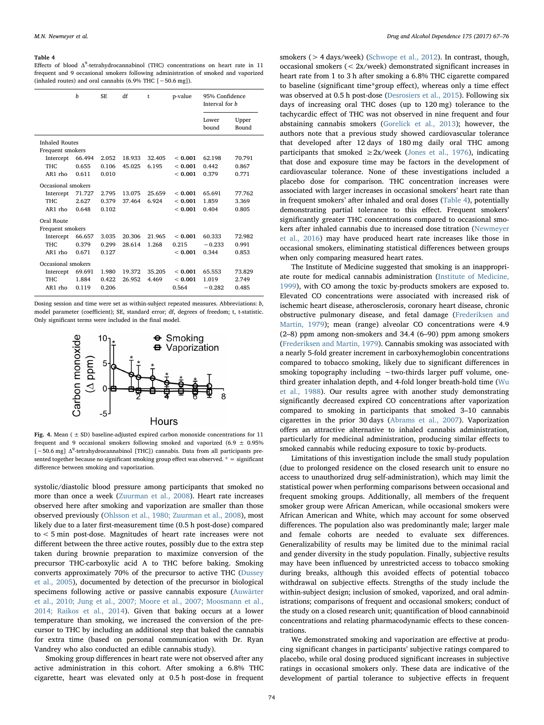#### <span id="page-7-0"></span>Table 4

Effects of blood  $\Delta^9$ -tetrahydrocannabinol (THC) concentrations on heart rate in 11 frequent and 9 occasional smokers following administration of smoked and vaporized (inhaled routes) and oral cannabis (6.9% THC [∼50.6 mg]).

|                                           |                    | $\boldsymbol{h}$ | SE.             | df     | $\mathsf{t}$ | p-value | 95% Confidence<br>Interval for <i>h</i> |                |
|-------------------------------------------|--------------------|------------------|-----------------|--------|--------------|---------|-----------------------------------------|----------------|
|                                           |                    |                  |                 |        |              |         | Lower<br>bound                          | Upper<br>Bound |
| <b>Inhaled Routes</b><br>Frequent smokers |                    |                  |                 |        |              |         |                                         |                |
|                                           | Intercept          | 66.494           | 2.052<br>18.933 |        | 32.405       | < 0.001 | 62.198                                  | 70.791         |
|                                           | THC.               | 0.655            | 0.106           | 45.025 | 6.195        | < 0.001 | 0.442                                   | 0.867          |
|                                           | $AR1$ rho          | 0.611            | 0.010           |        |              | < 0.001 | 0.379                                   | 0.771          |
|                                           | Occasional smokers |                  |                 |        |              |         |                                         |                |
|                                           | Intercept          | 71.727           | 2.795           | 13.075 | 25.659       | < 0.001 | 65.691                                  | 77.762         |
|                                           | THC.               | 2.627            | 0.379           | 37.464 | 6.924        | < 0.001 | 1.859                                   | 3.369          |
|                                           | $AR1$ rho          | 0.648            | 0.102           |        |              | < 0.001 | 0.404                                   | 0.805          |
| Oral Route                                |                    |                  |                 |        |              |         |                                         |                |
|                                           | Frequent smokers   |                  |                 |        |              |         |                                         |                |
|                                           | Intercept          | 66.657           | 3.035           | 20.306 | 21.965       | < 0.001 | 60.333                                  | 72.982         |
|                                           | THC.               | 0.379            | 0.299           | 28.614 | 1.268        | 0.215   | $-0.233$                                | 0.991          |
|                                           | AR1 rho            | 0.671            | 0.127           |        |              | < 0.001 | 0.344                                   | 0.853          |
| Occasional smokers                        |                    |                  |                 |        |              |         |                                         |                |
|                                           | Intercept          | 69.691           | 1.980           | 19.372 | 35.205       | < 0.001 | 65.553                                  | 73.829         |
|                                           | THC.               | 1884             | 0.422           | 26.952 | 4.469        | < 0.001 | 1.019                                   | 2.749          |
|                                           | $AR1$ rho          | 0.119            | 0.206           |        |              | 0.564   | $-0.282$                                | 0.485          |
|                                           |                    |                  |                 |        |              |         |                                         |                |

<span id="page-7-1"></span>Dosing session and time were set as within-subject repeated measures. Abbreviations: b, model parameter (coefficient); SE, standard error; df, degrees of freedom; t, t-statistic. Only significant terms were included in the final model.



Fig. 4. Mean ( $\pm$  SD) baseline-adjusted expired carbon monoxide concentrations for 11 frequent and 9 occasional smokers following smoked and vaporized (6.9  $\pm$  0.95% [ ~ 50.6 mg] ∆<sup>9</sup>-tetrahydrocannabinol [THC]) cannabis. Data from all participants presented together because no significant smoking group effect was observed.  $* =$  significant difference between smoking and vaporization.

systolic/diastolic blood pressure among participants that smoked no more than once a week [\(Zuurman et al., 2008\)](#page-9-3). Heart rate increases observed here after smoking and vaporization are smaller than those observed previously ([Ohlsson et al., 1980; Zuurman et al., 2008](#page-9-1)), most likely due to a later first-measurement time (0.5 h post-dose) compared to < 5 min post-dose. Magnitudes of heart rate increases were not different between the three active routes, possibly due to the extra step taken during brownie preparation to maximize conversion of the precursor THC-carboxylic acid A to THC before baking. Smoking converts approximately 70% of the precursor to active THC [\(Dussey](#page-8-11) [et al., 2005\)](#page-8-11), documented by detection of the precursor in biological specimens following active or passive cannabis exposure ([Auwärter](#page-8-12) [et al., 2010; Jung et al., 2007; Moore et al., 2007; Moosmann et al.,](#page-8-12) [2014; Raikos et al., 2014\)](#page-8-12). Given that baking occurs at a lower temperature than smoking, we increased the conversion of the precursor to THC by including an additional step that baked the cannabis for extra time (based on personal communication with Dr. Ryan Vandrey who also conducted an edible cannabis study).

Smoking group differences in heart rate were not observed after any active administration in this cohort. After smoking a 6.8% THC cigarette, heart was elevated only at 0.5 h post-dose in frequent smokers (> 4 days/week) [\(Schwope et al., 2012](#page-9-4)). In contrast, though, occasional smokers (< 2x/week) demonstrated significant increases in heart rate from 1 to 3 h after smoking a 6.8% THC cigarette compared to baseline (significant time\*group effect), whereas only a time effect was observed at 0.5 h post-dose [\(Desrosiers et al., 2015\)](#page-8-13). Following six days of increasing oral THC doses (up to 120 mg) tolerance to the tachycardic effect of THC was not observed in nine frequent and four abstaining cannabis smokers ([Gorelick et al., 2013](#page-8-14)); however, the authors note that a previous study showed cardiovascular tolerance that developed after 12 days of 180 mg daily oral THC among participants that smoked  $\geq 2x$ /week [\(Jones et al., 1976](#page-8-15)), indicating that dose and exposure time may be factors in the development of cardiovascular tolerance. None of these investigations included a placebo dose for comparison. THC concentration increases were associated with larger increases in occasional smokers' heart rate than in frequent smokers' after inhaled and oral doses [\(Table 4\)](#page-7-0), potentially demonstrating partial tolerance to this effect. Frequent smokers' significantly greater THC concentrations compared to occasional smokers after inhaled cannabis due to increased dose titration ([Newmeyer](#page-8-6) [et al., 2016](#page-8-6)) may have produced heart rate increases like those in occasional smokers, eliminating statistical differences between groups when only comparing measured heart rates.

The Institute of Medicine suggested that smoking is an inappropriate route for medical cannabis administration ([Institute of Medicine,](#page-8-16) [1999\)](#page-8-16), with CO among the toxic by-products smokers are exposed to. Elevated CO concentrations were associated with increased risk of ischemic heart disease, atherosclerosis, coronary heart disease, chronic obstructive pulmonary disease, and fetal damage ([Frederiksen and](#page-8-17) [Martin, 1979](#page-8-17)); mean (range) alveolar CO concentrations were 4.9 (2–8) ppm among non-smokers and 34.4 (6–90) ppm among smokers ([Frederiksen and Martin, 1979](#page-8-17)). Cannabis smoking was associated with a nearly 5-fold greater increment in carboxyhemoglobin concentrations compared to tobacco smoking, likely due to significant differences in smoking topography including ∼two-thirds larger puff volume, onethird greater inhalation depth, and 4-fold longer breath-hold time ([Wu](#page-9-5) [et al., 1988](#page-9-5)). Our results agree with another study demonstrating significantly decreased expired CO concentrations after vaporization compared to smoking in participants that smoked 3–10 cannabis cigarettes in the prior 30 days [\(Abrams et al., 2007\)](#page-8-4). Vaporization offers an attractive alternative to inhaled cannabis administration, particularly for medicinal administration, producing similar effects to smoked cannabis while reducing exposure to toxic by-products.

Limitations of this investigation include the small study population (due to prolonged residence on the closed research unit to ensure no access to unauthorized drug self-administration), which may limit the statistical power when performing comparisons between occasional and frequent smoking groups. Additionally, all members of the frequent smoker group were African American, while occasional smokers were African American and White, which may account for some observed differences. The population also was predominantly male; larger male and female cohorts are needed to evaluate sex differences. Generalizability of results may be limited due to the minimal racial and gender diversity in the study population. Finally, subjective results may have been influenced by unrestricted access to tobacco smoking during breaks, although this avoided effects of potential tobacco withdrawal on subjective effects. Strengths of the study include the within-subject design; inclusion of smoked, vaporized, and oral administrations; comparisons of frequent and occasional smokers; conduct of the study on a closed research unit; quantification of blood cannabinoid concentrations and relating pharmacodynamic effects to these concentrations.

We demonstrated smoking and vaporization are effective at producing significant changes in participants' subjective ratings compared to placebo, while oral dosing produced significant increases in subjective ratings in occasional smokers only. These data are indicative of the development of partial tolerance to subjective effects in frequent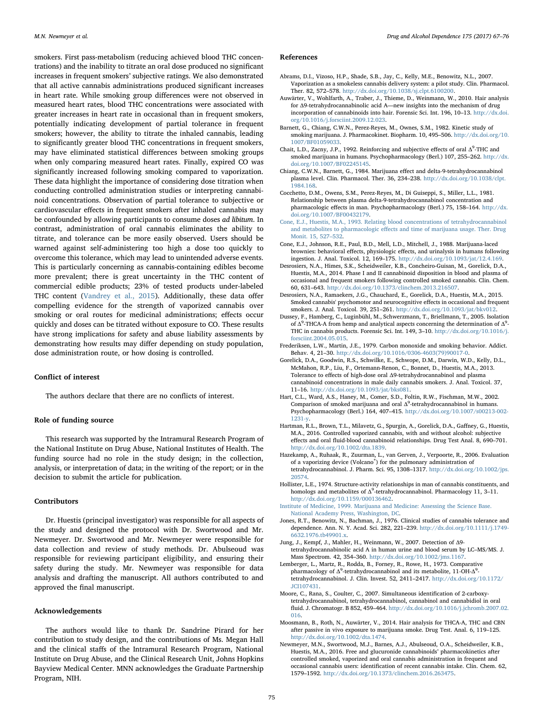smokers. First pass-metabolism (reducing achieved blood THC concentrations) and the inability to titrate an oral dose produced no significant increases in frequent smokers' subjective ratings. We also demonstrated that all active cannabis administrations produced significant increases in heart rate. While smoking group differences were not observed in measured heart rates, blood THC concentrations were associated with greater increases in heart rate in occasional than in frequent smokers, potentially indicating development of partial tolerance in frequent smokers; however, the ability to titrate the inhaled cannabis, leading to significantly greater blood THC concentrations in frequent smokers, may have eliminated statistical differences between smoking groups when only comparing measured heart rates. Finally, expired CO was significantly increased following smoking compared to vaporization. These data highlight the importance of considering dose titration when conducting controlled administration studies or interpreting cannabinoid concentrations. Observation of partial tolerance to subjective or cardiovascular effects in frequent smokers after inhaled cannabis may be confounded by allowing participants to consume doses ad libitum. In contrast, administration of oral cannabis eliminates the ability to titrate, and tolerance can be more easily observed. Users should be warned against self-administering too high a dose too quickly to overcome this tolerance, which may lead to unintended adverse events. This is particularly concerning as cannabis-containing edibles become more prevalent; there is great uncertainty in the THC content of commercial edible products; 23% of tested products under-labeled THC content ([Vandrey et al., 2015\)](#page-9-6). Additionally, these data offer compelling evidence for the strength of vaporized cannabis over smoking or oral routes for medicinal administrations; effects occur quickly and doses can be titrated without exposure to CO. These results have strong implications for safety and abuse liability assessments by demonstrating how results may differ depending on study population, dose administration route, or how dosing is controlled.

#### Conflict of interest

The authors declare that there are no conflicts of interest.

## Role of funding source

This research was supported by the Intramural Research Program of the National Institute on Drug Abuse, National Institutes of Health. The funding source had no role in the study design; in the collection, analysis, or interpretation of data; in the writing of the report; or in the decision to submit the article for publication.

#### **Contributors**

Dr. Huestis (principal investigator) was responsible for all aspects of the study and designed the protocol with Dr. Swortwood and Mr. Newmeyer. Dr. Swortwood and Mr. Newmeyer were responsible for data collection and review of study methods. Dr. Abulseoud was responsible for reviewing participant eligibility, and ensuring their safety during the study. Mr. Newmeyer was responsible for data analysis and drafting the manuscript. All authors contributed to and approved the final manuscript.

## Acknowledgements

The authors would like to thank Dr. Sandrine Pirard for her contribution to study design, and the contributions of Ms. Megan Hall and the clinical staffs of the Intramural Research Program, National Institute on Drug Abuse, and the Clinical Research Unit, Johns Hopkins Bayview Medical Center. MNN acknowledges the Graduate Partnership Program, NIH.

## References

- <span id="page-8-4"></span>Abrams, D.I., Vizoso, H.P., Shade, S.B., Jay, C., Kelly, M.E., Benowitz, N.L., 2007. Vaporization as a smokeless cannabis delivery system: a pilot study. Clin. Pharmacol. Ther. 82, 572–578. [http://dx.doi.org/10.1038/sj.clpt.6100200.](http://dx.doi.org/10.1038/sj.clpt.6100200)
- <span id="page-8-12"></span>Auwärter, V., Wohlfarth, A., Traber, J., Thieme, D., Weinmann, W., 2010. Hair analysis for Δ9-tetrahydrocannabinolic acid A—new insights into the mechanism of drug incorporation of cannabinoids into hair. Forensic Sci. Int. 196, 10–13. [http://dx.doi.](http://dx.doi.org/10.1016/j.forsciint.2009.12.023) [org/10.1016/j.forsciint.2009.12.023.](http://dx.doi.org/10.1016/j.forsciint.2009.12.023)
- <span id="page-8-9"></span>Barnett, G., Chiang, C.W.N., Perez-Reyes, M., Ownes, S.M., 1982. Kinetic study of smoking marijuana. J. Pharmacokinet. Biopharm. 10, 495–506. [http://dx.doi.org/10.](http://dx.doi.org/10.1007/BF01059033) [1007/BF01059033](http://dx.doi.org/10.1007/BF01059033).
- <span id="page-8-1"></span>Chait, L.D., Zacny, J.P., 1992. Reinforcing and subjective effects of oral  $\Delta^9$ -THC and smoked marijuana in humans. Psychopharmacology (Berl.) 107, 255–262. [http://dx.](http://dx.doi.org/10.1007/BF02245145) [doi.org/10.1007/BF02245145](http://dx.doi.org/10.1007/BF02245145).
- <span id="page-8-10"></span>Chiang, C.W.N., Barnett, G., 1984. Marijuana effect and delta-9-tetrahydrocannabinol plasma level. Clin. Pharmacol. Ther. 36, 234–238. [http://dx.doi.org/10.1038/clpt.](http://dx.doi.org/10.1038/clpt.1984.168) [1984.168](http://dx.doi.org/10.1038/clpt.1984.168).
- Cocchetto, D.M., Owens, S.M., Perez-Reyes, M., Di Guiseppi, S., Miller, L.L., 1981. Relationship between plasma delta-9-tetrahydrocannabinol concentration and pharmacologic effects in man. Psychopharmacology (Berl.) 75, 158–164. [http://dx.](http://dx.doi.org/10.1007/BF00432179) [doi.org/10.1007/BF00432179](http://dx.doi.org/10.1007/BF00432179).
- [Cone, E.J., Huestis, M.A., 1993. Relating blood concentrations of tetrahydrocannabinol](http://refhub.elsevier.com/S0376-8716(17)30133-3/sbref0035) and metabolites to pharmacologic eff[ects and time of marijuana usage. Ther. Drug](http://refhub.elsevier.com/S0376-8716(17)30133-3/sbref0035) [Monit. 15, 527](http://refhub.elsevier.com/S0376-8716(17)30133-3/sbref0035)–532.
- <span id="page-8-0"></span>Cone, E.J., Johnson, R.E., Paul, B.D., Mell, L.D., Mitchell, J., 1988. Marijuana-laced brownies: behavioral effects, physiologic effects, and urinalysis in humans following ingestion. J. Anal. Toxicol. 12, 169–175. [http://dx.doi.org/10.1093/jat/12.4.169.](http://dx.doi.org/10.1093/jat/12.4.169)
- <span id="page-8-7"></span>Desrosiers, N.A., Himes, S.K., Scheidweiler, K.B., Concheiro-Guisan, M., Gorelick, D.A., Huestis, M.A., 2014. Phase I and II cannabinoid disposition in blood and plasma of occasional and frequent smokers following controlled smoked cannabis. Clin. Chem. 60, 631–643. <http://dx.doi.org/10.1373/clinchem.2013.216507>.
- <span id="page-8-13"></span>Desrosiers, N.A., Ramaekers, J.G., Chauchard, E., Gorelick, D.A., Huestis, M.A., 2015. Smoked cannabis' psychomotor and neurocognitive effects in occasional and frequent smokers. J. Anal. Toxicol. 39, 251–261. <http://dx.doi.org/10.1093/jat/bkv012>.
- <span id="page-8-11"></span>Dussey, F., Hamberg, C., Luginbühl, M., Schwerzmann, T., Briellmann, T., 2005. Isolation of  $\Delta^9$ -THCA-A from hemp and analytical aspects concerning the determination of  $\Delta^9$ -THC in cannabis products. Forensic Sci. Int. 149, 3–10. [http://dx.doi.org/10.1016/j.](http://dx.doi.org/10.1016/j.forsciint.2004.05.015) [forsciint.2004.05.015](http://dx.doi.org/10.1016/j.forsciint.2004.05.015).
- <span id="page-8-17"></span>Frederiksen, L.W., Martin, J.E., 1979. Carbon monoxide and smoking behavior. Addict. Behav. 4, 21–30. [http://dx.doi.org/10.1016/0306-4603\(79\)90017-0.](http://dx.doi.org/10.1016/0306-4603(79)90017-0)
- <span id="page-8-14"></span>Gorelick, D.A., Goodwin, R.S., Schwilke, E., Schwope, D.M., Darwin, W.D., Kelly, D.L., McMahon, R.P., Liu, F., Ortemann-Renon, C., Bonnet, D., Huestis, M.A., 2013. Tolerance to effects of high-dose oral Δ9-tetrahydrocannabinol and plasma cannabinoid concentrations in male daily cannabis smokers. J. Anal. Toxicol. 37, 11–16. [http://dx.doi.org/10.1093/jat/bks081.](http://dx.doi.org/10.1093/jat/bks081)
- <span id="page-8-2"></span>Hart, C.L., Ward, A.S., Haney, M., Comer, S.D., Foltin, R.W., Fischman, M.W., 2002. Comparison of smoked marijuana and oral  $\Delta^9$ -tetrahydrocannabinol in humans. Psychopharmacology (Berl.) 164, 407–415. [http://dx.doi.org/10.1007/s00213-002-](http://dx.doi.org/10.1007/s00213-002-1231-y) [1231-y](http://dx.doi.org/10.1007/s00213-002-1231-y).
- <span id="page-8-5"></span>Hartman, R.L., Brown, T.L., Milavetz, G., Spurgin, A., Gorelick, D.A., Gaffney, G., Huestis, M.A., 2016. Controlled vaporized cannabis, with and without alcohol: subjective effects and oral fluid-blood cannabinoid relationships. Drug Test Anal. 8, 690–701. [http://dx.doi.org/10.1002/dta.1839.](http://dx.doi.org/10.1002/dta.1839)
- <span id="page-8-3"></span>Hazekamp, A., Ruhaak, R., Zuurman, L., van Gerven, J., Verpoorte, R., 2006. Evaluation of a vaporizing device (Volcano®) for the pulmonary administration of tetrahydrocannabinol. J. Pharm. Sci. 95, 1308–1317. [http://dx.doi.org/10.1002/jps.](http://dx.doi.org/10.1002/jps.20574) [20574.](http://dx.doi.org/10.1002/jps.20574)
- <span id="page-8-8"></span>Hollister, L.E., 1974. Structure-activity relationships in man of cannabis constituents, and homologs and metabolites of  $\Delta^9$ -tetrahydrocannabinol. Pharmacology 11, 3-11. [http://dx.doi.org/10.1159/000136462.](http://dx.doi.org/10.1159/000136462)
- <span id="page-8-16"></span>[Institute of Medicine, 1999. Marijuana and Medicine: Assessing the Science Base.](http://refhub.elsevier.com/S0376-8716(17)30133-3/sbref0090) [National Academy Press, Washington, DC](http://refhub.elsevier.com/S0376-8716(17)30133-3/sbref0090).
- <span id="page-8-15"></span>Jones, R.T., Benowitz, N., Bachman, J., 1976. Clinical studies of cannabis tolerance and dependence. Ann. N. Y. Acad. Sci. 282, 221–239. [http://dx.doi.org/10.1111/j.1749-](http://dx.doi.org/10.1111/j.1749-6632.1976.tb49901.x) [6632.1976.tb49901.x.](http://dx.doi.org/10.1111/j.1749-6632.1976.tb49901.x)
- Jung, J., Kempf, J., Mahler, H., Weinmann, W., 2007. Detection of Δ9 tetrahydrocannabinolic acid A in human urine and blood serum by LC–MS/MS. J. Mass Spectrom. 42, 354–360. [http://dx.doi.org/10.1002/jms.1167.](http://dx.doi.org/10.1002/jms.1167)
- Lemberger, L., Martz, R., Rodda, B., Forney, R., Rowe, H., 1973. Comparative pharmacology of  $\Delta^9$ -tetrahydrocannabinol and its metabolite, 11-OH- $\Delta^9$ tetrahydrocannabinol. J. Clin. Invest. 52, 2411–2417. [http://dx.doi.org/10.1172/](http://dx.doi.org/10.1172/JCI107431) [JCI107431](http://dx.doi.org/10.1172/JCI107431).
- Moore, C., Rana, S., Coulter, C., 2007. Simultaneous identification of 2-carboxytetrahydrocannabinol, tetrahydrocannabinol, cannabinol and cannabidiol in oral fluid. J. Chromatogr. B 852, 459–464. [http://dx.doi.org/10.1016/j.jchromb.2007.02.](http://dx.doi.org/10.1016/j.jchromb.2007.02.016) [016](http://dx.doi.org/10.1016/j.jchromb.2007.02.016).
- Moosmann, B., Roth, N., Auwärter, V., 2014. Hair analysis for THCA-A, THC and CBN after passive in vivo exposure to marijuana smoke. Drug Test. Anal. 6, 119–125. [http://dx.doi.org/10.1002/dta.1474.](http://dx.doi.org/10.1002/dta.1474)
- <span id="page-8-6"></span>Newmeyer, M.N., Swortwood, M.J., Barnes, A.J., Abulseoud, O.A., Scheidweiler, K.B., Huestis, M.A., 2016. Free and glucuronide cannabinoids' pharmacokinetics after controlled smoked, vaporized and oral cannabis administration in frequent and occasional cannabis users: identification of recent cannabis intake. Clin. Chem. 62, 1579–1592. <http://dx.doi.org/10.1373/clinchem.2016.263475>.